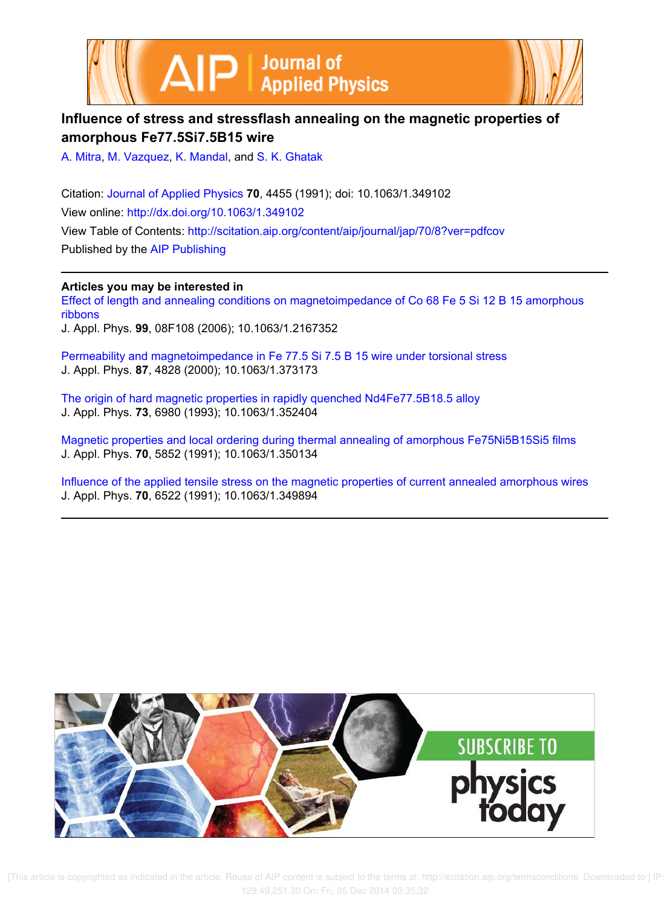



# **Influence of stress and stressflash annealing on the magnetic properties of amorphous Fe77.5Si7.5B15 wire**

A. Mitra, M. Vazquez, K. Mandal, and S. K. Ghatak

Citation: Journal of Applied Physics **70**, 4455 (1991); doi: 10.1063/1.349102 View online: http://dx.doi.org/10.1063/1.349102 View Table of Contents: http://scitation.aip.org/content/aip/journal/jap/70/8?ver=pdfcov Published by the AIP Publishing

**Articles you may be interested in** Effect of length and annealing conditions on magnetoimpedance of Co 68 Fe 5 Si 12 B 15 amorphous ribbons J. Appl. Phys. **99**, 08F108 (2006); 10.1063/1.2167352

Permeability and magnetoimpedance in Fe 77.5 Si 7.5 B 15 wire under torsional stress J. Appl. Phys. **87**, 4828 (2000); 10.1063/1.373173

The origin of hard magnetic properties in rapidly quenched Nd4Fe77.5B18.5 alloy J. Appl. Phys. **73**, 6980 (1993); 10.1063/1.352404

Magnetic properties and local ordering during thermal annealing of amorphous Fe75Ni5B15Si5 films J. Appl. Phys. **70**, 5852 (1991); 10.1063/1.350134

Influence of the applied tensile stress on the magnetic properties of current annealed amorphous wires J. Appl. Phys. **70**, 6522 (1991); 10.1063/1.349894

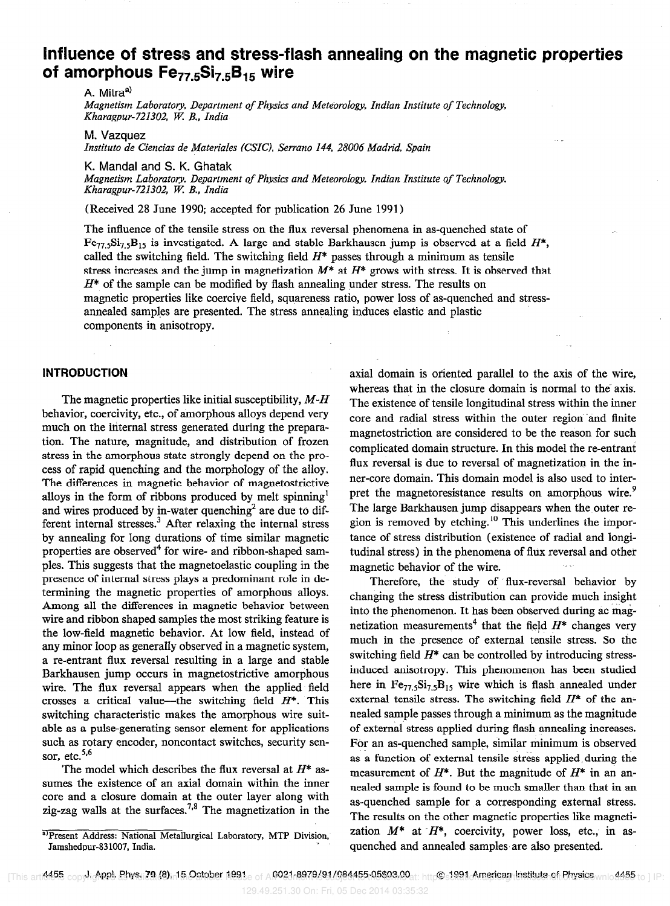## Influence of stress and stress-flash annealing on the magnetic properties of amorphous  $Fe_{77.5}Si_{7.5}B_{15}$  wire

A. Mitra<sup>a)</sup>

Magnetism Laboratory, Department of Physics and Meteorology, Indian Institute of Technology, Kharagpur-721302, W: B., India

M. Vazquez

Instituto de Ciencias de Materiales (CSIC), Serrano 144, 28006 Madrid, Spain

K. Mandal and S. K. Ghatak

Magnetism Laboratory, Department of Physics and Meteorology Indian Institute of Technology, Kharagpur-721302, W; B., India

(Received 28 June 1990; accepted for publication 26 June 1991)

The influence of the tensile stress on the flux reversal phenomena in as-quenched state of  $Fe_{77.5}Si_{7.5}B_{15}$  is investigated. A large and stable Barkhausen jump is observed at a field  $H^*$ , called the switching field. The switching field  $H^*$  passes through a minimum as tensile stress increases and the jump in magnetization  $M^*$  at  $H^*$  grows with stress. It is observed that  $H^*$  of the sample can be modified by flash annealing under stress. The results on magnetic properties like coercive field, squareness ratio, power loss of as-quenched and stressannealed samples are presented. The stress annealing induces elastic and plastic components in anisotropy.

#### INTRODUCTION

The magnetic properties like initial susceptibility,  $M-H$ behavior, coercivity, etc., of amorphous alloys depend very much on the internal stress generated during the preparation. The nature, magnitude, and distribution of frozen stress in the amorphous state strongly depend on the process of rapid quenching and the morphology of the alloy. The differences in magnetic behavior of magnetostrictive alloys in the form of ribbons produced by melt spinning' and wires produced by in-water quenching<sup>2</sup> are due to different internal stresses. $3$  After relaxing the internal stress by annealing for long durations of time similar magnetic properties are observed<sup>4</sup> for wire- and ribbon-shaped samples. This suggests that the magnetoelastic coupling in the presence of internal stress plays a predominant role in determining the magnetic properties of amorphous alloys. Among all the differences in magnetic behavior between wire and ribbon shaped samples the most striking feature is the low-field magnetic behavior. At low field, instead of any minor loop as generally observed in a magnetic system, a re-entrant flux reversal resulting in a large and stable Barkhausen jump occurs in magnetostrictive amorphous wire. The flux reversal appears when the applied field crosses a critical value—the switching field  $H^*$ . This switching characteristic makes the amorphous wire suitable as a pulse-generating sensor element for applications such as rotary encoder, noncontact switches, security sensor, etc.<sup>5,6</sup>

The model which describes the flux reversal at  $H^*$  assumes the existence of an axial domain within the inner core and a closure domain at the outer layer along with zig-zag walls at the surfaces.<sup>7,8</sup> The magnetization in the

axial domain is oriented parallel to the axis of the wire, whereas that in the closure domain is normal to the axis. The existence of tensile longitudinal stress within the inner core and radial stress within the outer region and finite magnetostriction are considered to be the reason for such complicated domain structure. In this model the re-entrant flux reversal is due to reversal of magnetization in the inner-core domain. This domain model is also used to interpret the magnetoresistance results on amorphous wire.<sup>9</sup> The large Barkhausen jump disappears when the outer region is removed by etching.<sup>10</sup> This underlines the importance of stress distribution (existence of radial and longitudinal stress) in the phenomena of flux reversal and other magnetic behavior of the wire.

Therefore, the study of flux-reversal behavior by changing the stress distribution can provide much insight into the phenomenon. It has been observed during ac magnetization measurements<sup>4</sup> that the field  $H^*$  changes very much in the presence of external tensile stress. So the switching field  $H^*$  can be controlled by introducing stressinduced anisotropy. This phenomenon has been studied here in  $Fe_{77.5}Si_{7.5}B_{15}$  wire which is flash annealed under external tensile stress. The switching field  $H^*$  of the annealed sample passes through a minimum as the magnitude of external stress applied during flash annealing increases. For an as-quenched sample, similar minimum is observed as a function of external tensile stress applied during the measurement of  $H^*$ . But the magnitude of  $H^*$  in an annealed sample is found to be much smaller than that in an as-quenched sample for a corresponding external stress. The results on the other magnetic properties like magnetization  $M^*$  at  $H^*$ , coercivity, power loss, etc., in asquenched and annealed samples are also presented.

a) Present Address: National Metallurgical Laboratory, MTP Division, Jamshedpur-83 1007, India.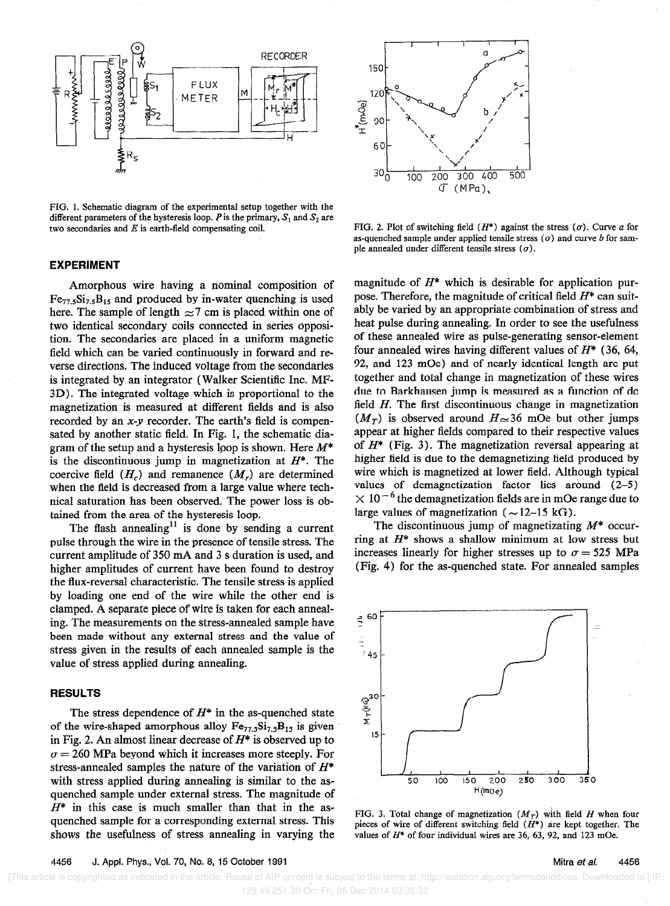

FIG. 1. Schematic diagram of the experimental setup together with the different parameters of the hysteresis loop. P is the primary,  $S_1$  and  $S_2$  are two secondaries and  $E$  is earth-field compensating coil.

#### EXPERIMENT

tion. The secondaries are placed in a uniform magnetic of these annealed wire as pulse-generating sensor-element<br>field which can be varied continuously in forward and re-<br>four annealed wires having different values of  $H^$ nical saturation has been observed. The power loss is ob-  $\times 10^{-6}$  the demagnetization fields are in mOe rained from the area of the hysteresis loop tained from the area of the hysteresis loop.

The flash annealing<sup>11</sup> is done by sending a current pulse through the wire in the presence of tensile stress. The current amplitude of 350 mA and 3 s duration is used, and higher amplitudes of current have been found to destroy the flux-reversal characteristic. The tensile stress is applied by loading one end of the wire while the other end is clamped. A separate piece of wire is taken for each annealing. The measurements on the stress-annealed sample have been made without any external stress and the value of stress given in the results of each annealed sample is the value of stress applied during annealing.

#### **RESULTS**

The stress dependence of  $H^*$  in the as-quenched state of the wire-shaped amorphous alloy  $Fe_{77.5}Si_{7.5}B_{15}$  is given in Fig. 2. An almost linear decrease of  $H^*$  is observed up to  $\sigma = 260$  MPa beyond which it increases more steeply. For stress-annealed samples the nature of the variation of  $H^*$ with stress applied during annealing is similar to the asquenched sample under external stress. The magnitude of  $H^*$  in this case is much smaller than that in the asquenched sample for a corresponding external stress. This shows the usefulness of stress annealing in varying the



FIG. 2. Plot of switching field  $(H^*)$  against the stress  $(\sigma)$ . Curve a for as-quenched sample under applied tensile stress  $(\sigma)$  and curve b for sample annealed under different tensile stress  $(\sigma)$ .

Amorphous wire having a nominal composition of magnitude of  $H^*$  which is desirable for application pur-<br>Size Bre and produced by in-water quenching is used pose. Therefore, the magnitude of critical field  $H^*$  can suit Fe<sub>77.5</sub>Si<sub>7.5</sub>B<sub>15</sub> and produced by in-water quenching is used pose. Therefore, the magnitude of critical field  $H^*$  can suit-<br>here. The sample of length  $\approx$  7 cm is placed within one of ably be varied by an appropriat here. The sample of length  $\approx$ 7 cm is placed within one of ably be varied by an appropriate combination of stress and<br>two identical secondary coils connected in series oppositional and the during annealing. In order to s two identical secondary coils connected in series opposi-<br>tion. The secondaries are placed in a uniform magnetic of these annealed wire as pulse-generating sensor-element field which can be varied continuously in forward and re-<br>verse directions. The induced voltage from the secondaries 92, and 123 mOe) and of nearly identical length are put verse directions. The induced voltage from the secondaries 92, and 123 mOe) and of nearly identical length are put<br>is integrated by an integrator (Walker Scientific Inc. MF-<br>together and total change in magnetization of th is integrated by an integrator (Walker Scientific Inc. MF-<br>3D) The integrated voltage which is proportional to the due to Barkhausen jump is measured as a function of dc 3D). The integrated voltage which is proportional to the due to Barkhausen jump is measured as a function of dc<br>magnetization is measured at different fields and is also field H. The first discontinuous change in magnetiz magnetization is measured at different fields and is also field H. The first discontinuous change in magnetization<br>recorded by an x-y recorder. The earth's field is compen-<br> $(M_T)$  is observed around  $H \approx 36$  mOe but other recorded by an x-y recorder. The earth's field is compen-  $(M_T)$  is observed around  $H \approx 36$  mOe but other jumps sated by another static field. In Fig. 1, the schematic dia-<br>appear at higher fields compared to their respec sated by another static field. In Fig. 1, the schematic dia-<br>
gram of the setup and a hysteresis loop is shown Here  $M^*$  of  $H^*$  (Fig. 3). The magnetization reversal appearing at gram of the setup and a hysteresis loop is shown. Here  $M^*$  of  $H^*$  (Fig. 3). The magnetization reversal appearing at is the discontinuous jump in magnetization at  $H^*$ . The higher field is due to the demagnetizing fie is the discontinuous jump in magnetization at  $H^*$ . The higher field is due to the demagnetizing field produced by coercive field  $(H)$  and remanence  $(M)$  are determined wire which is magnetized at lower field. Although t coercive field  $(H_c)$  and remanence  $(M_r)$  are determined wire which is magnetized at lower field. Although typical when the field is decreased from a large value where tech-<br>values of demagnetization factor lies around (2– when the field is decreased from a large value where tech-<br>nical saturation has been observed. The nower loss is ob-<br> $\times 10^{-6}$  the demagnetization fields are in mOe range due to

> The discontinuous jump of magnetizating  $M^*$  occurring at  $H^*$  shows a shallow minimum at low stress but increases linearly for higher stresses up to  $\sigma = 525$  MPa (Fig. 4) for the as-quenched state. For annealed samples



FIG. 3. Total change of magnetization  $(M_T)$  with field H when four pieces of wire of different switching field  $(H^*)$  are kept together. The values of  $H^*$  of four individual wires are 36, 63, 92, and 123 mOe.

 [This article is copyrighted as indicated in the article. Reuse of AIP content is subject to the terms at: http://scitation.aip.org/termsconditions. Downloaded to ] IP: 129.49.251.30 On: Fri, 05 Dec 2014 03:35:32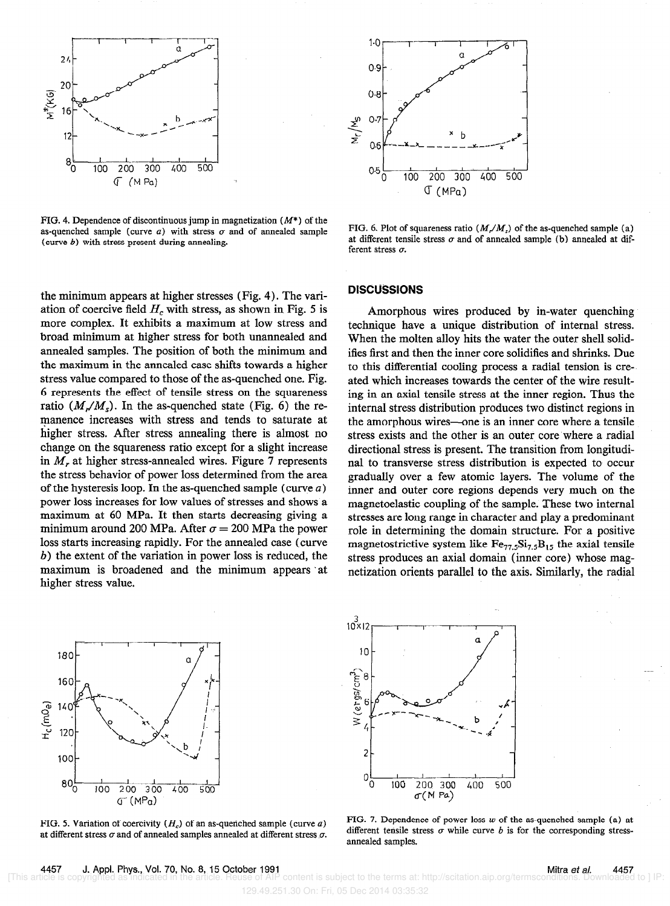

FIG. 4. Dependence of discontinuous jump in magnetization  $(M^*)$  of the as-quenched sample (curve  $a$ ) with stress  $\sigma$  and of annealed sample (curve b) with stress present during annealing.

the minimum appears at higher stresses (Fig. 4). The variation of coercive field  $H_c$  with stress, as shown in Fig. 5 is more complex. It exhibits a maximum at low stress and broad minimum at higher stress for both unannealed and annealed samples. The position of both the minimum and the maximum in the annealed case shifts towards a higher stress value compared to those of the as-quenched one. Fig. 6 represents the effect of tensile stress on the squareness ratio  $(M_{\nu}/M_{s})$ . In the as-quenched state (Fig. 6) the remanence increases with stress and tends to saturate at higher stress. After stress annealing there is almost no change on the squareness ratio except for a slight increase in  $M_r$  at higher stress-annealed wires. Figure 7 represents the stress behavior of power loss determined from the area of the hysteresis loop. In the as-quenched sample (curve  $a$ ) power loss increases for low values of stresses and shows a maximum at 60 MPa. It then starts decreasing giving a minimum around 200 MPa. After  $\sigma = 200$  MPa the power loss starts increasing rapidly. For the annealed case (curve b) the extent of the variation in power loss is reduced, the maximum is broadened and the minimum appears at higher stress value.



at different stress  $\sigma$  and of annealed samples annealed at different stress  $\sigma$ .



FIG. 6. Plot of squareness ratio  $(M_{\nu}/M_{s})$  of the as-quenched sample (a) at different tensile stress  $\sigma$  and of annealed sample (b) annealed at different stress  $\sigma$ .

#### DISCUSSIONS

Amorphous wires produced by in-water quenching technique have a unique distribution of internal stress. When the molten alloy hits the water the outer shell solidifies first and then the inner core solidifies and shrinks. Due to this differential cooling process a radial tension is created which increases towards the center of the wire resulting in an axial tensile stress at the inner region. Thus the internal stress distribution produces two distinct regions in the amorphous wires-one is an inner core where a tensile stress exists and the other is an outer core where a radial directional stress is present. The transition from longitudinal to transverse stress distribution is expected to occur gradually over a few atomic layers. The volume of the inner and outer core regions depends very much on the magnetoelastic coupling of the sample. These two internal stresses are long range in character and play a predominant role in determining the domain structure. For a positive magnetostrictive system like  $Fe_{77.5}Si_{7.5}B_{15}$  the axial tensile stress produces an axial domain (inner core) whose magnetization orients parallel to the axis. Similarly, the radial



FIG. 5. Variation of coercivity  $(H_c)$  of an as-quenched sample (curve a) FIG. 7. Dependence of power loss w of the as-quenched sample (a) at different stress or while curve b is for the corresponding stressannealed samples.

129.49.251.30 On: Fri, 05 Dec 2014 03:35:32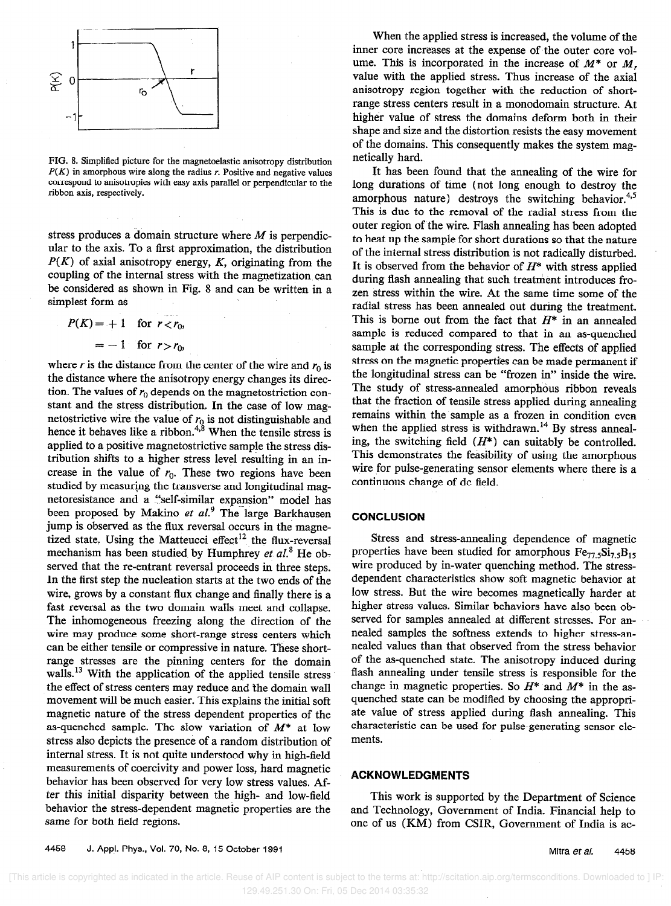

FIG. 8. Simplified picture for the magnetoelastic anisotropy distribution  $P(K)$  in amorphous wire along the radius r. Positive and negative values correspond to anisotropies with easy axis parallel or perpendicular to the ribbon axis, respectively.

stress produces a domain structure where  $M$  is perpendicular to the axis. To a first approximation, the distribution  $P(K)$  of axial anisotropy energy, K, originating from the coupling of the internal stress with the magnetization can be considered as shown in Fig. 8 and can be written in a simplest form as

$$
P(K) = +1 \quad \text{for } r < r_0,
$$
\n
$$
= -1 \quad \text{for } r > r_0,
$$

where r is the distance from the center of the wire and  $r_0$  is the distance where the anisotropy energy changes its direction. The values of  $r_0$  depends on the magnetostriction constant and the stress distribution. In the case of low magnetostrictive wire the value of  $r_0$  is not distinguishable and hence it behaves like a ribbon.<sup>+,•</sup> When the tensile stress is applied to a positive magnetostrictive sample the stress distribution shifts to a higher stress level resulting in an increase in the value of  $r_0$ . These two regions have been studied by measuring the transverse and longitudinal magnetoresistance and a "self-similar expansion" model has been proposed by Makino et  $al$ <sup>9</sup> The large Barkhausen jump is observed as the flux reversal occurs in the magnetized state. Using the Matteucci effect<sup>12</sup> the flux-reversal mechanism has been studied by Humphrey et  $al^8$ . He observed that the re-entrant reversal proceeds in three steps. In the first step the nucleation starts at the two ends of the wire, grows by a constant flux change and finally there is a fast reversal as the two domain walls meet and collapse. The inhomogeneous freezing along the direction of the wire may produce some short-range stress centers which can be either tensile or compressive in nature. These shortrange stresses are the pinning centers for the domain walls.<sup>13</sup> With the application of the applied tensile stress the effect of stress centers may reduce and the domain wall movement will be much easier. This explains the initial soft magnetic nature of the stress dependent properties of the as-quenched sample. The slow variation of  $M^*$  at low stress also depicts the presence of a random distribution of internal stress. It is not quite understood why in high-field measurements of coercivity and power loss, hard magnetic behavior has been observed for very low stress values. After this initial disparity between the high- and low-field behavior the stress-dependent magnetic properties are the same for both field regions.

When the applied stress is increased, the volume of the inner core increases at the expense of the outer core volume. This is incorporated in the increase of  $M^*$  or  $M_r$ , value with the applied stress. Thus increase of the axial anisotropy region together with the reduction of shortrange stress centers result in a monodomain structure. At higher value of stress the domains deform both in their shape and size and the distortion resists the easy movement of the domains. This consequently makes the system magnetically hard.

It has been found that the annealing of the wire for long durations of time (not long enough to destroy the amorphous nature) destroys the switching behavior. $4.5$ This is due to the removal of the radial stress from the outer region of the wire. Flash annealing has been adopted to heat up the sample for short durations so that the nature of the internal stress distribution is not radically disturbed. It is observed from the behavior of  $H^*$  with stress applied during flash annealing that such treatment introduces frozen stress within the wire. At the same time some of the radial stress has been annealed out during the treatment. This is borne out from the fact that  $H^*$  in an annealed sample is reduced compared to that in an as-quenched sample at the corresponding stress. The effects of applied stress on the magnetic properties can be made permanent if the longitudinal stress can be "frozen in" inside the wire. The study of stress-annealed amorphous ribbon reveals that the fraction of tensile stress applied during annealing remains within the sample as a frozen in condition even when the applied stress is withdrawn.<sup>14</sup> By stress annealing, the switching field  $(H^*)$  can suitably be controlled. This demonstrates the feasibility of using the amorphous wire for pulse-generating sensor elements where there is a continuous change of dc field.

#### **CONCLUSION**

Stress and stress-annealing dependence of magnetic properties have been studied for amorphous  $Fe<sub>77.5</sub>Si<sub>7.5</sub>B<sub>15</sub>$ wire produced by in-water quenching method. The stressdependent characteristics show soft magnetic behavior at low stress. But the wire becomes magnetically harder at higher stress values. Similar behaviors have also been observed for samples annealed at different stresses. For annealed samples the softness extends to higher stress-annealed values than that observed from the stress behavior of the as-quenched state. The anisotropy induced during flash annealing under tensile stress is responsible for the change in magnetic properties. So  $H^*$  and  $M^*$  in the asquenched state can be modified by choosing the appropriate value of stress applied during flash annealing. This characteristic can be used for pulse-generating sensor elements.

### ACKNOWLEDGMENTS

This work is supported by the Department of Science and Technology, Government of India. Financial help to one of us (KM) from CSIR, Government of India is ac-

4458 J. Appl. Phys., Vol. 70, No. 8, 15 October 1991 Mitra et al. 4458

 [This article is copyrighted as indicated in the article. Reuse of AIP content is subject to the terms at: http://scitation.aip.org/termsconditions. Downloaded to ] IP: 129.49.251.30 On: Fri, 05 Dec 2014 03:35:32